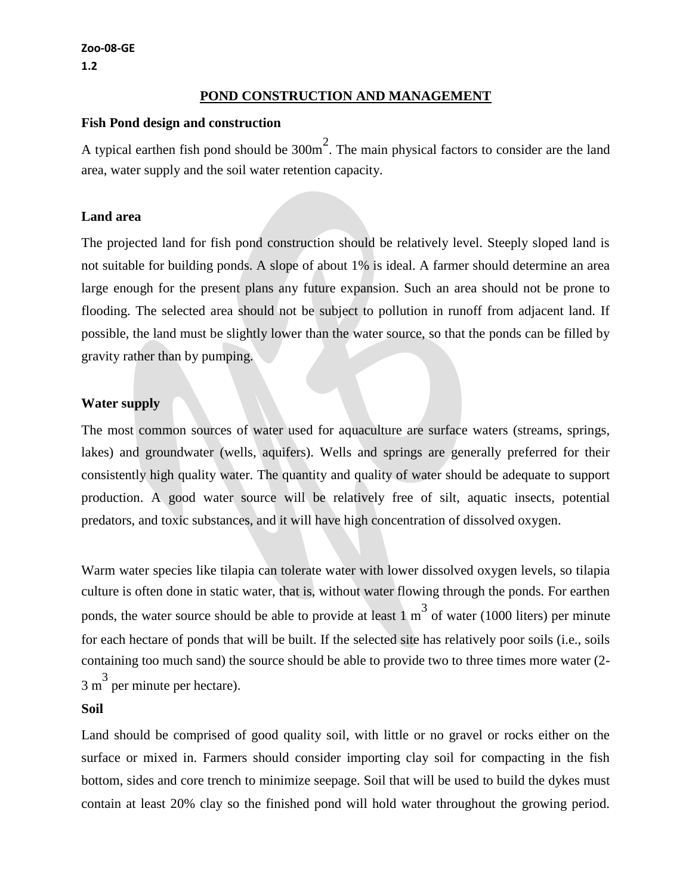**Zoo-08-GE 1.2**

### **POND CONSTRUCTION AND MANAGEMENT**

#### **Fish Pond design and construction**

A typical earthen fish pond should be  $300m^2$ . The main physical factors to consider are the land area, water supply and the soil water retention capacity.

#### **Land area**

The projected land for fish pond construction should be relatively level. Steeply sloped land is not suitable for building ponds. A slope of about 1% is ideal. A farmer should determine an area large enough for the present plans any future expansion. Such an area should not be prone to flooding. The selected area should not be subject to pollution in runoff from adjacent land. If possible, the land must be slightly lower than the water source, so that the ponds can be filled by gravity rather than by pumping.

### **Water supply**

The most common sources of water used for aquaculture are surface waters (streams, springs, lakes) and groundwater (wells, aquifers). Wells and springs are generally preferred for their consistently high quality water. The quantity and quality of water should be adequate to support production. A good water source will be relatively free of silt, aquatic insects, potential predators, and toxic substances, and it will have high concentration of dissolved oxygen.

Warm water species like tilapia can tolerate water with lower dissolved oxygen levels, so tilapia culture is often done in static water, that is, without water flowing through the ponds. For earthen ponds, the water source should be able to provide at least  $1 \text{ m}^3$  of water (1000 liters) per minute for each hectare of ponds that will be built. If the selected site has relatively poor soils (i.e., soils containing too much sand) the source should be able to provide two to three times more water (2-  $3 \text{ m}^3$  per minute per hectare).

#### **Soil**

Land should be comprised of good quality soil, with little or no gravel or rocks either on the surface or mixed in. Farmers should consider importing clay soil for compacting in the fish bottom, sides and core trench to minimize seepage. Soil that will be used to build the dykes must contain at least 20% clay so the finished pond will hold water throughout the growing period.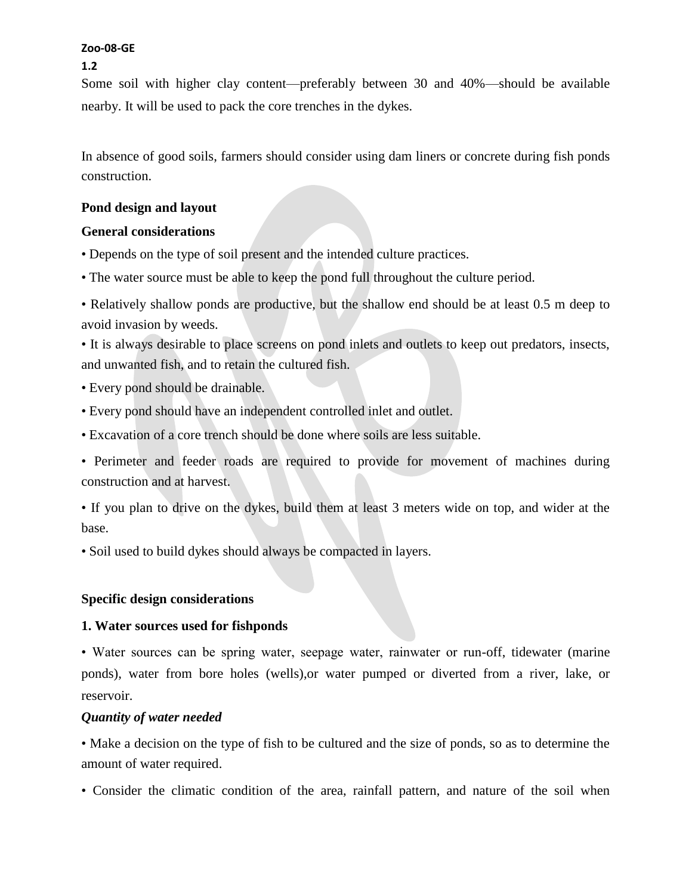**1.2**

Some soil with higher clay content—preferably between 30 and 40%—should be available nearby. It will be used to pack the core trenches in the dykes.

In absence of good soils, farmers should consider using dam liners or concrete during fish ponds construction.

### **Pond design and layout**

### **General considerations**

- Depends on the type of soil present and the intended culture practices.
- The water source must be able to keep the pond full throughout the culture period.

• Relatively shallow ponds are productive, but the shallow end should be at least 0.5 m deep to avoid invasion by weeds.

• It is always desirable to place screens on pond inlets and outlets to keep out predators, insects, and unwanted fish, and to retain the cultured fish.

- Every pond should be drainable.
- Every pond should have an independent controlled inlet and outlet.
- Excavation of a core trench should be done where soils are less suitable.

• Perimeter and feeder roads are required to provide for movement of machines during construction and at harvest.

• If you plan to drive on the dykes, build them at least 3 meters wide on top, and wider at the base.

• Soil used to build dykes should always be compacted in layers.

# **Specific design considerations**

# **1. Water sources used for fishponds**

• Water sources can be spring water, seepage water, rainwater or run-off, tidewater (marine ponds), water from bore holes (wells),or water pumped or diverted from a river, lake, or reservoir.

# *Quantity of water needed*

• Make a decision on the type of fish to be cultured and the size of ponds, so as to determine the amount of water required.

• Consider the climatic condition of the area, rainfall pattern, and nature of the soil when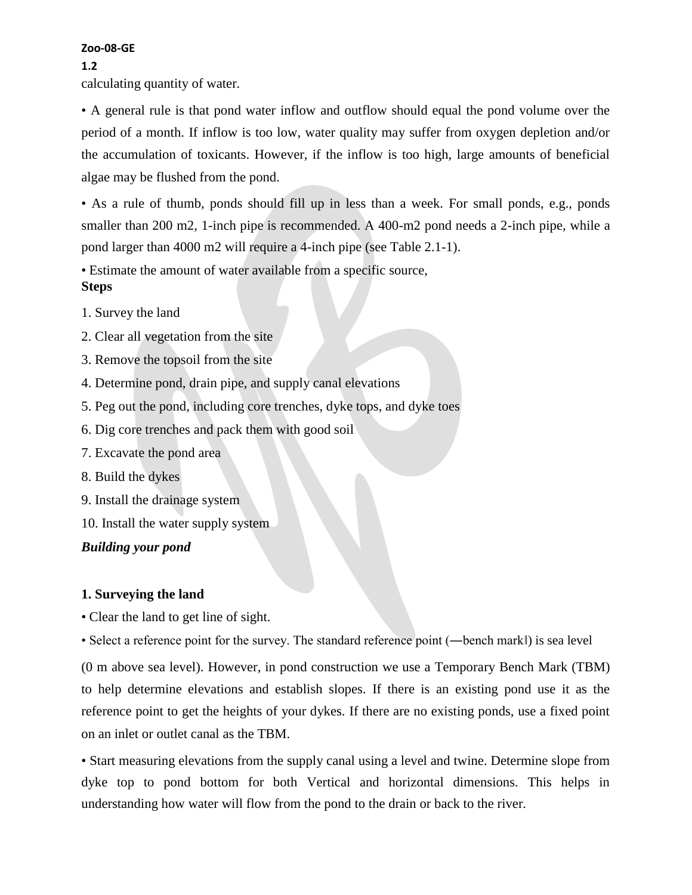#### **1.2**

calculating quantity of water.

• A general rule is that pond water inflow and outflow should equal the pond volume over the period of a month. If inflow is too low, water quality may suffer from oxygen depletion and/or the accumulation of toxicants. However, if the inflow is too high, large amounts of beneficial algae may be flushed from the pond.

• As a rule of thumb, ponds should fill up in less than a week. For small ponds, e.g., ponds smaller than 200 m2, 1-inch pipe is recommended. A 400-m2 pond needs a 2-inch pipe, while a pond larger than 4000 m2 will require a 4-inch pipe (see Table 2.1-1).

• Estimate the amount of water available from a specific source, **Steps**

- 1. Survey the land
- 2. Clear all vegetation from the site
- 3. Remove the topsoil from the site
- 4. Determine pond, drain pipe, and supply canal elevations
- 5. Peg out the pond, including core trenches, dyke tops, and dyke toes
- 6. Dig core trenches and pack them with good soil
- 7. Excavate the pond area
- 8. Build the dykes
- 9. Install the drainage system
- 10. Install the water supply system

### *Building your pond*

### **1. Surveying the land**

• Clear the land to get line of sight.

• Select a reference point for the survey. The standard reference point (—bench markl) is sea level

(0 m above sea level). However, in pond construction we use a Temporary Bench Mark (TBM) to help determine elevations and establish slopes. If there is an existing pond use it as the reference point to get the heights of your dykes. If there are no existing ponds, use a fixed point on an inlet or outlet canal as the TBM.

• Start measuring elevations from the supply canal using a level and twine. Determine slope from dyke top to pond bottom for both Vertical and horizontal dimensions. This helps in understanding how water will flow from the pond to the drain or back to the river.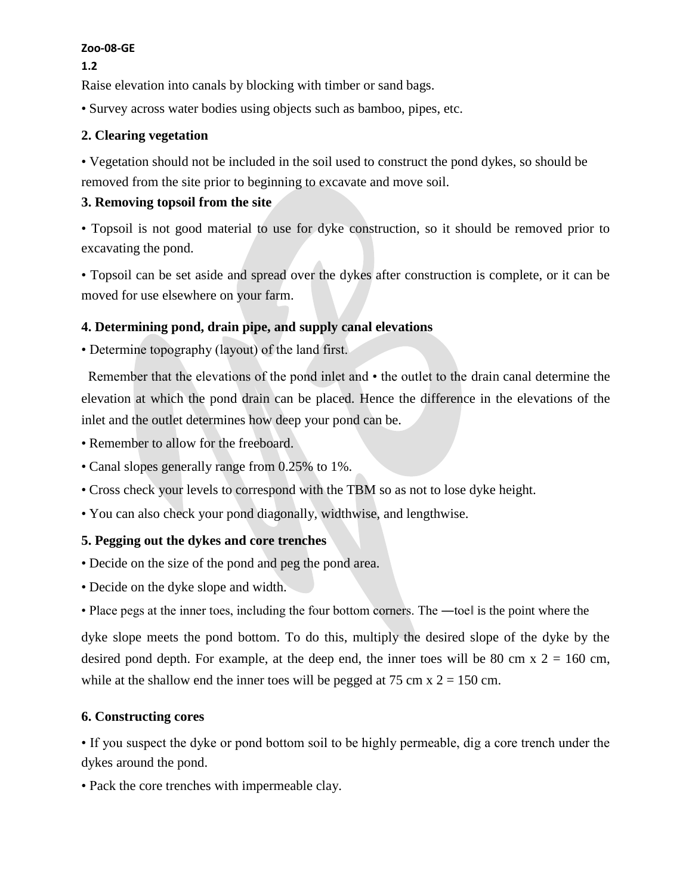**1.2**

Raise elevation into canals by blocking with timber or sand bags.

• Survey across water bodies using objects such as bamboo, pipes, etc.

### **2. Clearing vegetation**

• Vegetation should not be included in the soil used to construct the pond dykes, so should be removed from the site prior to beginning to excavate and move soil.

# **3. Removing topsoil from the site**

• Topsoil is not good material to use for dyke construction, so it should be removed prior to excavating the pond.

• Topsoil can be set aside and spread over the dykes after construction is complete, or it can be moved for use elsewhere on your farm.

# **4. Determining pond, drain pipe, and supply canal elevations**

• Determine topography (layout) of the land first.

**2**Remember that the elevations of the pond inlet and • the outlet to the drain canal determine the elevation at which the pond drain can be placed. Hence the difference in the elevations of the inlet and the outlet determines how deep your pond can be.

• Remember to allow for the freeboard.

- Canal slopes generally range from 0.25% to 1%.
- Cross check your levels to correspond with the TBM so as not to lose dyke height.
- You can also check your pond diagonally, widthwise, and lengthwise.

# **5. Pegging out the dykes and core trenches**

- Decide on the size of the pond and peg the pond area.
- Decide on the dyke slope and width.
- Place pegs at the inner toes, including the four bottom corners. The —toel is the point where the

dyke slope meets the pond bottom. To do this, multiply the desired slope of the dyke by the desired pond depth. For example, at the deep end, the inner toes will be 80 cm x  $2 = 160$  cm, while at the shallow end the inner toes will be pegged at 75 cm  $x = 150$  cm.

### **6. Constructing cores**

• If you suspect the dyke or pond bottom soil to be highly permeable, dig a core trench under the dykes around the pond.

• Pack the core trenches with impermeable clay.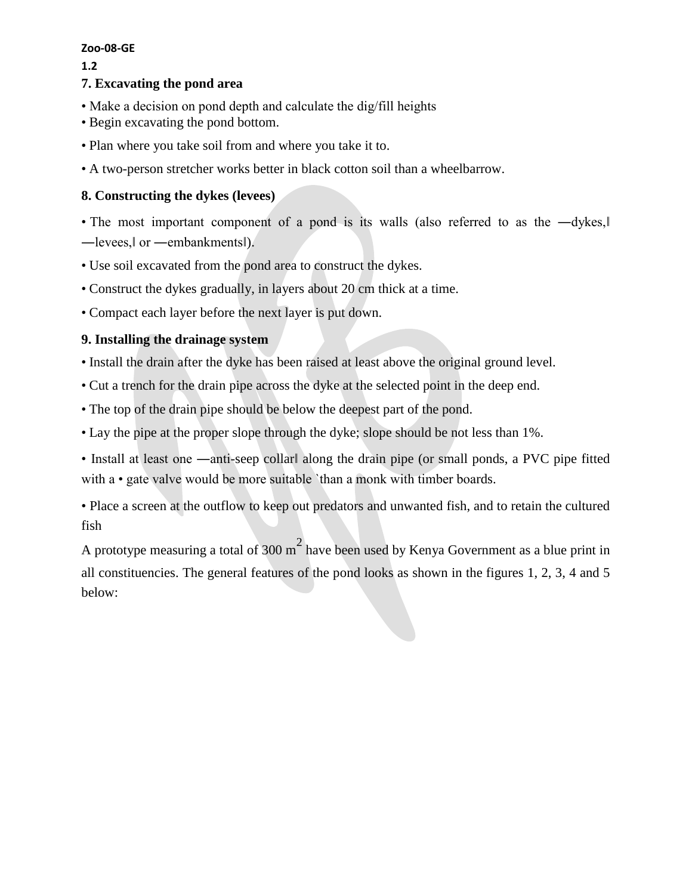**1.2**

# **7. Excavating the pond area**

- Make a decision on pond depth and calculate the dig/fill heights
- Begin excavating the pond bottom.
- Plan where you take soil from and where you take it to.
- A two-person stretcher works better in black cotton soil than a wheelbarrow.

# **8. Constructing the dykes (levees)**

• The most important component of a pond is its walls (also referred to as the  $-dykes$ . ―levees,‖ or ―embankments‖).

- Use soil excavated from the pond area to construct the dykes.
- Construct the dykes gradually, in layers about 20 cm thick at a time.
- Compact each layer before the next layer is put down.

# **9. Installing the drainage system**

- Install the drain after the dyke has been raised at least above the original ground level.
- Cut a trench for the drain pipe across the dyke at the selected point in the deep end.
- The top of the drain pipe should be below the deepest part of the pond.
- Lay the pipe at the proper slope through the dyke; slope should be not less than 1%.

• Install at least one —anti-seep collar along the drain pipe (or small ponds, a PVC pipe fitted with a • gate valve would be more suitable `than a monk with timber boards.

• Place a screen at the outflow to keep out predators and unwanted fish, and to retain the cultured fish

A prototype measuring a total of 300 m<sup>2</sup> have been used by Kenya Government as a blue print in all constituencies. The general features of the pond looks as shown in the figures 1, 2, 3, 4 and 5 below: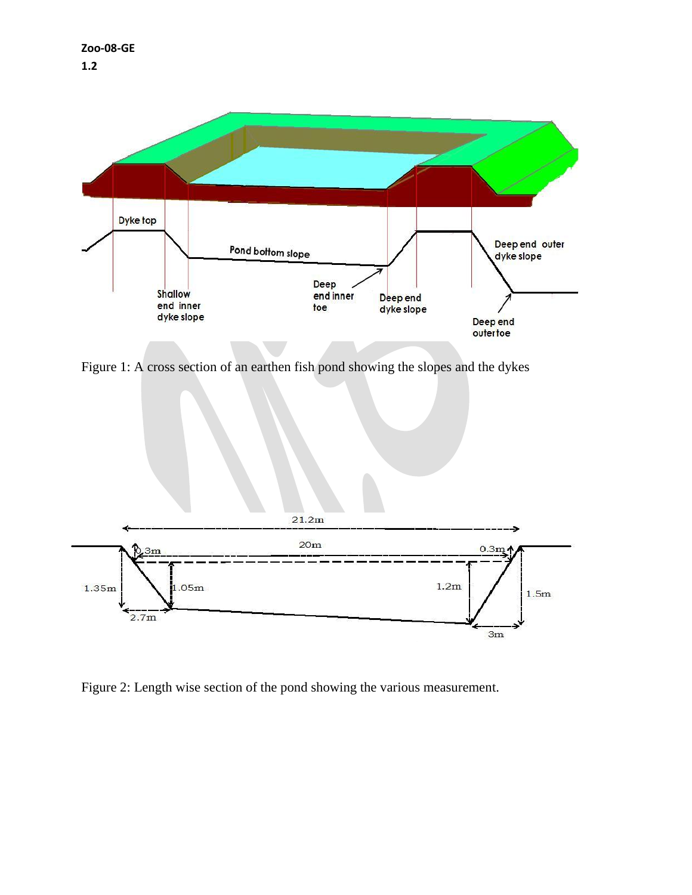

Figure 1: A cross section of an earthen fish pond showing the slopes and the dykes



Figure 2: Length wise section of the pond showing the various measurement.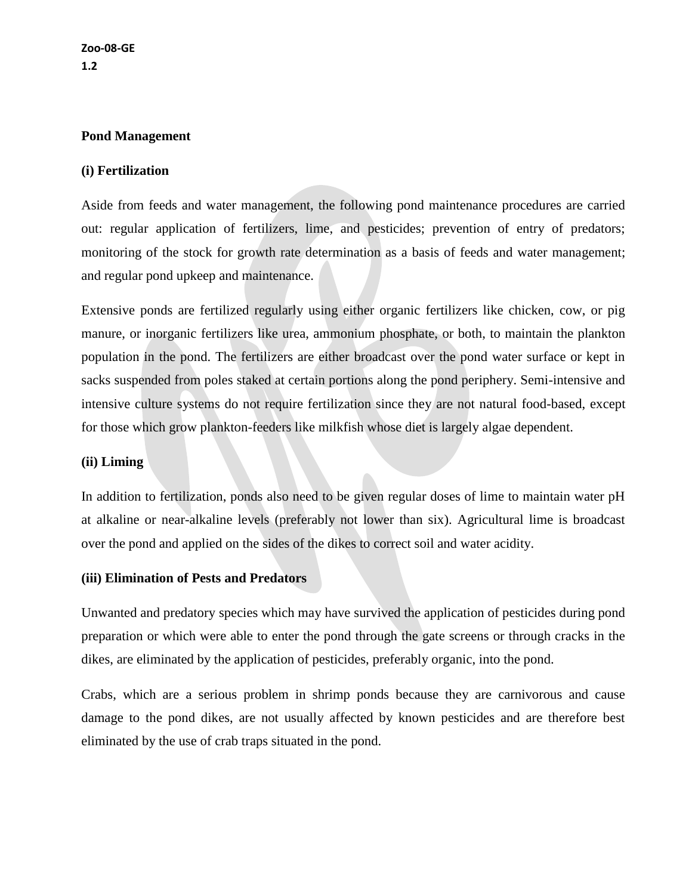### **Pond Management**

### **(i) Fertilization**

Aside from feeds and water management, the following pond maintenance procedures are carried out: regular application of fertilizers, lime, and pesticides; prevention of entry of predators; monitoring of the stock for growth rate determination as a basis of feeds and water management; and regular pond upkeep and maintenance.

Extensive ponds are fertilized regularly using either organic fertilizers like chicken, cow, or pig manure, or inorganic fertilizers like urea, ammonium phosphate, or both, to maintain the plankton population in the pond. The fertilizers are either broadcast over the pond water surface or kept in sacks suspended from poles staked at certain portions along the pond periphery. Semi-intensive and intensive culture systems do not require fertilization since they are not natural food-based, except for those which grow plankton-feeders like milkfish whose diet is largely algae dependent.

#### **(ii) Liming**

In addition to fertilization, ponds also need to be given regular doses of lime to maintain water pH at alkaline or near-alkaline levels (preferably not lower than six). Agricultural lime is broadcast over the pond and applied on the sides of the dikes to correct soil and water acidity.

### **(iii) Elimination of Pests and Predators**

Unwanted and predatory species which may have survived the application of pesticides during pond preparation or which were able to enter the pond through the gate screens or through cracks in the dikes, are eliminated by the application of pesticides, preferably organic, into the pond.

Crabs, which are a serious problem in shrimp ponds because they are carnivorous and cause damage to the pond dikes, are not usually affected by known pesticides and are therefore best eliminated by the use of crab traps situated in the pond.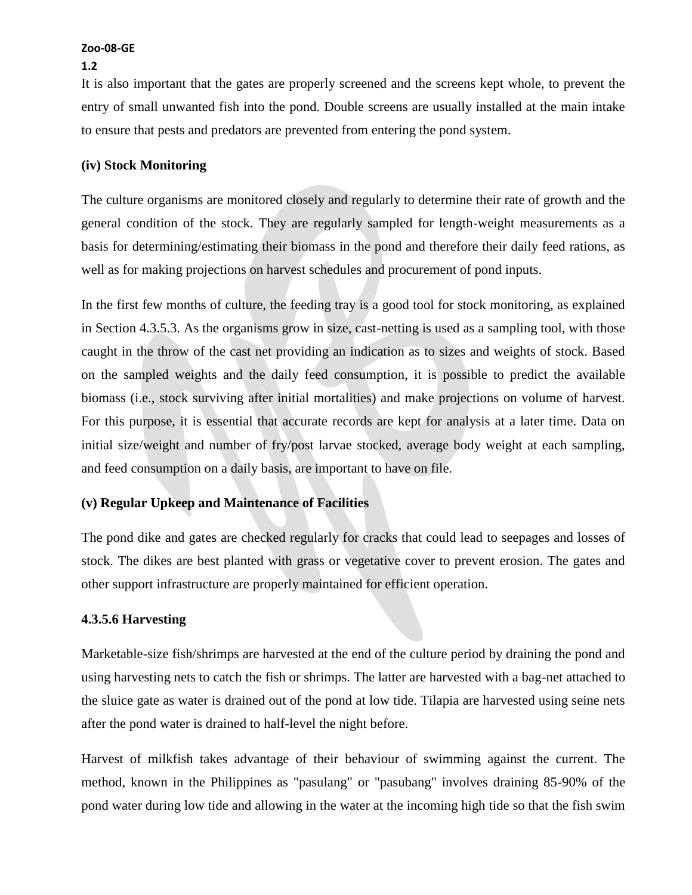### **1.2**

It is also important that the gates are properly screened and the screens kept whole, to prevent the entry of small unwanted fish into the pond. Double screens are usually installed at the main intake to ensure that pests and predators are prevented from entering the pond system.

### **(iv) Stock Monitoring**

The culture organisms are monitored closely and regularly to determine their rate of growth and the general condition of the stock. They are regularly sampled for length-weight measurements as a basis for determining/estimating their biomass in the pond and therefore their daily feed rations, as well as for making projections on harvest schedules and procurement of pond inputs.

In the first few months of culture, the feeding tray is a good tool for stock monitoring, as explained in Section 4.3.5.3. As the organisms grow in size, cast-netting is used as a sampling tool, with those caught in the throw of the cast net providing an indication as to sizes and weights of stock. Based on the sampled weights and the daily feed consumption, it is possible to predict the available biomass (i.e., stock surviving after initial mortalities) and make projections on volume of harvest. For this purpose, it is essential that accurate records are kept for analysis at a later time. Data on initial size/weight and number of fry/post larvae stocked, average body weight at each sampling, and feed consumption on a daily basis, are important to have on file.

# **(v) Regular Upkeep and Maintenance of Facilities**

The pond dike and gates are checked regularly for cracks that could lead to seepages and losses of stock. The dikes are best planted with grass or vegetative cover to prevent erosion. The gates and other support infrastructure are properly maintained for efficient operation.

# **4.3.5.6 Harvesting**

Marketable-size fish/shrimps are harvested at the end of the culture period by draining the pond and using harvesting nets to catch the fish or shrimps. The latter are harvested with a bag-net attached to the sluice gate as water is drained out of the pond at low tide. Tilapia are harvested using seine nets after the pond water is drained to half-level the night before.

Harvest of milkfish takes advantage of their behaviour of swimming against the current. The method, known in the Philippines as "pasulang" or "pasubang" involves draining 85-90% of the pond water during low tide and allowing in the water at the incoming high tide so that the fish swim